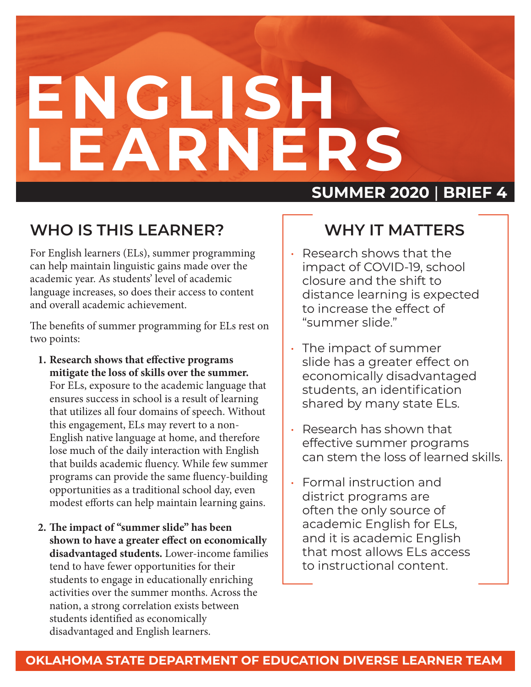# **ENGLISH LEARNERS**

### **WHO IS THIS LEARNER?**

For English learners (ELs), summer programming can help maintain linguistic gains made over the academic year. As students' level of academic language increases, so does their access to content and overall academic achievement.

The benefits of summer programming for ELs rest on two points:

- **1. Research shows that effective programs mitigate the loss of skills over the summer.** For ELs, exposure to the academic language that ensures success in school is a result of learning that utilizes all four domains of speech. Without this engagement, ELs may revert to a non-English native language at home, and therefore lose much of the daily interaction with English that builds academic fluency. While few summer programs can provide the same fluency-building opportunities as a traditional school day, even modest efforts can help maintain learning gains.
- **2. The impact of "summer slide" has been shown to have a greater effect on economically disadvantaged students.** Lower-income families tend to have fewer opportunities for their students to engage in educationally enriching activities over the summer months. Across the nation, a strong correlation exists between students identified as economically disadvantaged and English learners.

### **SUMMER 2020** | **BRIEF 4**

## **WHY IT MATTERS**

- Research shows that the impact of COVID-19, school closure and the shift to distance learning is expected to increase the effect of "summer slide."
- The impact of summer slide has a greater effect on economically disadvantaged students, an identification shared by many state ELs.
- Research has shown that effective summer programs can stem the loss of learned skills.
- Formal instruction and district programs are often the only source of academic English for ELs, and it is academic English that most allows ELs access to instructional content.